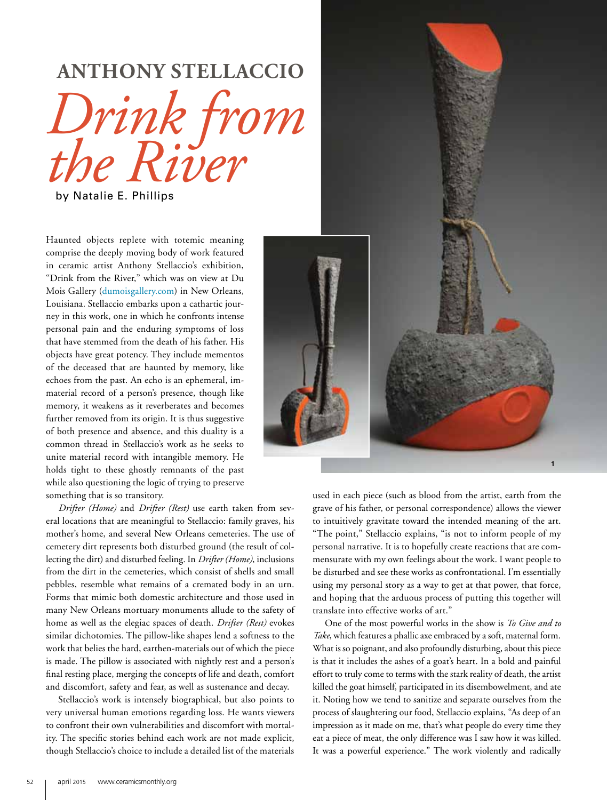## **ANTHONY STELLACCIO**

*Drink from the River*

by Natalie E. Phillips

Haunted objects replete with totemic meaning comprise the deeply moving body of work featured in ceramic artist Anthony Stellaccio's exhibition, "Drink from the River," which was on view at Du Mois Gallery (dumoisgallery.com) in New Orleans, Louisiana*.* Stellaccio embarks upon a cathartic journey in this work, one in which he confronts intense personal pain and the enduring symptoms of loss that have stemmed from the death of his father. His objects have great potency. They include mementos of the deceased that are haunted by memory, like echoes from the past. An echo is an ephemeral, immaterial record of a person's presence, though like memory, it weakens as it reverberates and becomes further removed from its origin. It is thus suggestive of both presence and absence, and this duality is a common thread in Stellaccio's work as he seeks to unite material record with intangible memory. He holds tight to these ghostly remnants of the past while also questioning the logic of trying to preserve something that is so transitory.

*Drifter (Home)* and *Drifter (Rest)* use earth taken from several locations that are meaningful to Stellaccio: family graves, his mother's home, and several New Orleans cemeteries. The use of cemetery dirt represents both disturbed ground (the result of collecting the dirt) and disturbed feeling. In *Drifter (Home)*, inclusions from the dirt in the cemeteries, which consist of shells and small pebbles, resemble what remains of a cremated body in an urn. Forms that mimic both domestic architecture and those used in many New Orleans mortuary monuments allude to the safety of home as well as the elegiac spaces of death. *Drifter (Rest)* evokes similar dichotomies. The pillow-like shapes lend a softness to the work that belies the hard, earthen-materials out of which the piece is made. The pillow is associated with nightly rest and a person's final resting place, merging the concepts of life and death, comfort and discomfort, safety and fear, as well as sustenance and decay.

Stellaccio's work is intensely biographical, but also points to very universal human emotions regarding loss. He wants viewers to confront their own vulnerabilities and discomfort with mortality. The specific stories behind each work are not made explicit, though Stellaccio's choice to include a detailed list of the materials



used in each piece (such as blood from the artist, earth from the grave of his father, or personal correspondence) allows the viewer to intuitively gravitate toward the intended meaning of the art. "The point," Stellaccio explains, "is not to inform people of my personal narrative. It is to hopefully create reactions that are commensurate with my own feelings about the work. I want people to be disturbed and see these works as confrontational. I'm essentially using my personal story as a way to get at that power, that force, and hoping that the arduous process of putting this together will translate into effective works of art."

One of the most powerful works in the show is *To Give and to Take*, which features a phallic axe embraced by a soft, maternal form. What is so poignant, and also profoundly disturbing, about this piece is that it includes the ashes of a goat's heart. In a bold and painful effort to truly come to terms with the stark reality of death, the artist killed the goat himself, participated in its disembowelment, and ate it. Noting how we tend to sanitize and separate ourselves from the process of slaughtering our food, Stellaccio explains, "As deep of an impression as it made on me, that's what people do every time they eat a piece of meat, the only difference was I saw how it was killed. It was a powerful experience." The work violently and radically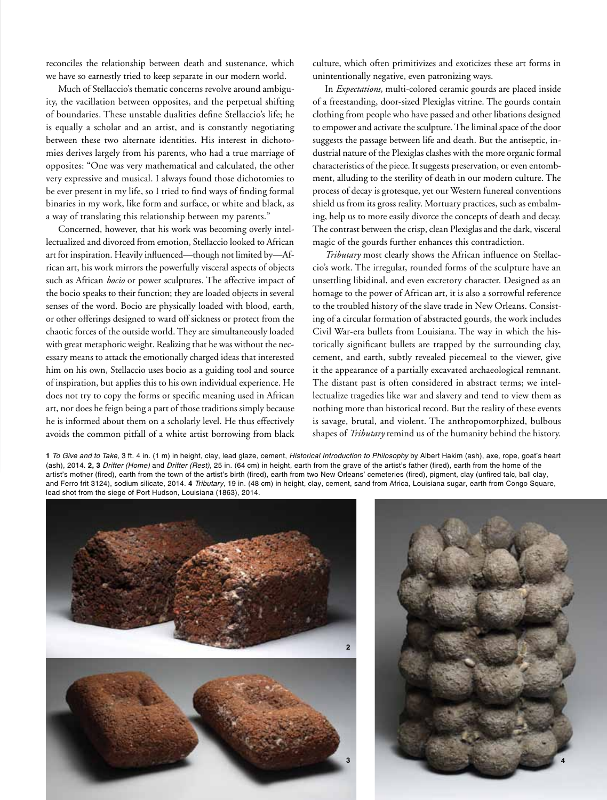reconciles the relationship between death and sustenance, which we have so earnestly tried to keep separate in our modern world.

Much of Stellaccio's thematic concerns revolve around ambiguity, the vacillation between opposites, and the perpetual shifting of boundaries. These unstable dualities define Stellaccio's life; he is equally a scholar and an artist, and is constantly negotiating between these two alternate identities. His interest in dichotomies derives largely from his parents, who had a true marriage of opposites: "One was very mathematical and calculated, the other very expressive and musical. I always found those dichotomies to be ever present in my life, so I tried to find ways of finding formal binaries in my work, like form and surface, or white and black, as a way of translating this relationship between my parents."

Concerned, however, that his work was becoming overly intellectualized and divorced from emotion, Stellaccio looked to African art for inspiration. Heavily influenced—though not limited by—African art, his work mirrors the powerfully visceral aspects of objects such as African *bocio* or power sculptures. The affective impact of the bocio speaks to their function; they are loaded objects in several senses of the word. Bocio are physically loaded with blood, earth, or other offerings designed to ward off sickness or protect from the chaotic forces of the outside world. They are simultaneously loaded with great metaphoric weight. Realizing that he was without the necessary means to attack the emotionally charged ideas that interested him on his own, Stellaccio uses bocio as a guiding tool and source of inspiration, but applies this to his own individual experience. He does not try to copy the forms or specific meaning used in African art, nor does he feign being a part of those traditions simply because he is informed about them on a scholarly level. He thus effectively avoids the common pitfall of a white artist borrowing from black

culture, which often primitivizes and exoticizes these art forms in unintentionally negative, even patronizing ways.

In *Expectations*, multi-colored ceramic gourds are placed inside of a freestanding, door-sized Plexiglas vitrine. The gourds contain clothing from people who have passed and other libations designed to empower and activate the sculpture. The liminal space of the door suggests the passage between life and death. But the antiseptic, industrial nature of the Plexiglas clashes with the more organic formal characteristics of the piece. It suggests preservation, or even entombment, alluding to the sterility of death in our modern culture. The process of decay is grotesque, yet our Western funereal conventions shield us from its gross reality. Mortuary practices, such as embalming, help us to more easily divorce the concepts of death and decay. The contrast between the crisp, clean Plexiglas and the dark, visceral magic of the gourds further enhances this contradiction.

*Tributary* most clearly shows the African influence on Stellaccio's work. The irregular, rounded forms of the sculpture have an unsettling libidinal, and even excretory character. Designed as an homage to the power of African art, it is also a sorrowful reference to the troubled history of the slave trade in New Orleans. Consisting of a circular formation of abstracted gourds, the work includes Civil War-era bullets from Louisiana. The way in which the historically significant bullets are trapped by the surrounding clay, cement, and earth, subtly revealed piecemeal to the viewer, give it the appearance of a partially excavated archaeological remnant. The distant past is often considered in abstract terms; we intellectualize tragedies like war and slavery and tend to view them as nothing more than historical record. But the reality of these events is savage, brutal, and violent. The anthropomorphized, bulbous shapes of *Tributary* remind us of the humanity behind the history.

**1** To Give and to Take, 3 ft. 4 in. (1 m) in height, clay, lead glaze, cement, Historical Introduction to Philosophy by Albert Hakim (ash), axe, rope, goat's heart (ash), 2014. **2, 3** Drifter (Home) and Drifter (Rest), 25 in. (64 cm) in height, earth from the grave of the artist's father (fired), earth from the home of the artist's mother (fired), earth from the town of the artist's birth (fired), earth from two New Orleans' cemeteries (fired), pigment, clay (unfired talc, ball clay, and Ferro frit 3124), sodium silicate, 2014. **4** Tributary, 19 in. (48 cm) in height, clay, cement, sand from Africa, Louisiana sugar, earth from Congo Square, lead shot from the siege of Port Hudson, Louisiana (1863), 2014.